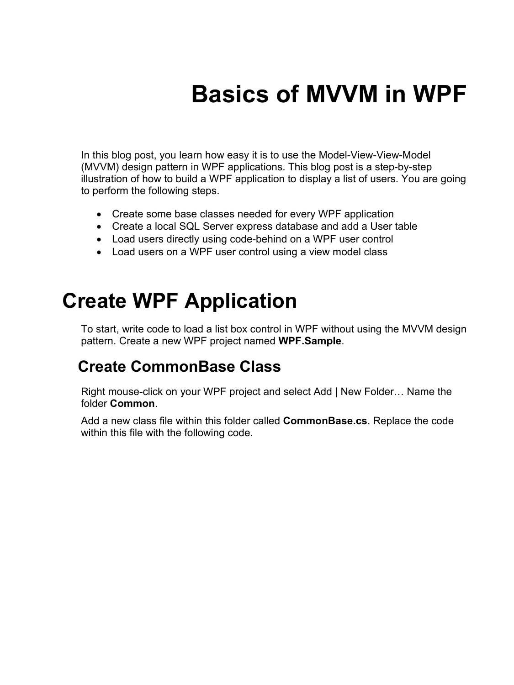# **Basics of MVVM in WPF**

In this blog post, you learn how easy it is to use the Model-View-View-Model (MVVM) design pattern in WPF applications. This blog post is a step-by-step illustration of how to build a WPF application to display a list of users. You are going to perform the following steps.

- Create some base classes needed for every WPF application
- Create a local SQL Server express database and add a User table
- Load users directly using code-behind on a WPF user control
- Load users on a WPF user control using a view model class

### **Create WPF Application**

To start, write code to load a list box control in WPF without using the MVVM design pattern. Create a new WPF project named **WPF.Sample**.

#### **Create CommonBase Class**

Right mouse-click on your WPF project and select Add | New Folder… Name the folder **Common**.

Add a new class file within this folder called **CommonBase.cs**. Replace the code within this file with the following code.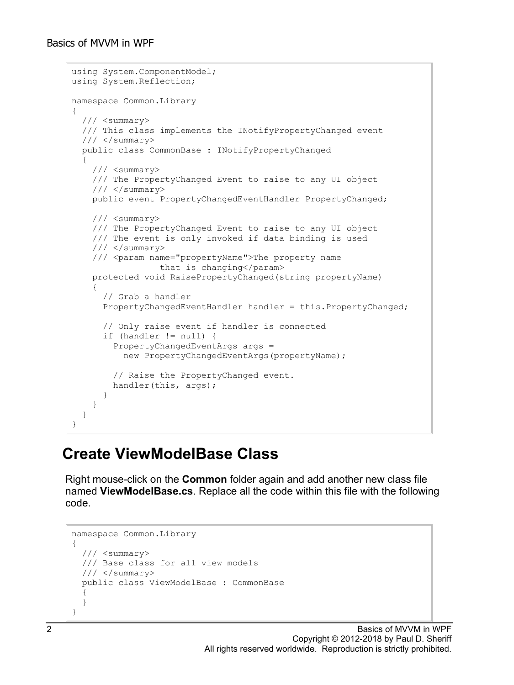```
using System.ComponentModel;
using System.Reflection;
namespace Common.Library
{
   /// <summary>
   /// This class implements the INotifyPropertyChanged event
  // / </summary>
   public class CommonBase : INotifyPropertyChanged
\{ /// <summary>
     /// The PropertyChanged Event to raise to any UI object
     /// </summary>
     public event PropertyChangedEventHandler PropertyChanged;
     /// <summary>
     /// The PropertyChanged Event to raise to any UI object
     /// The event is only invoked if data binding is used
     /// </summary>
     /// <param name="propertyName">The property name 
                  that is changing</param>
     protected void RaisePropertyChanged(string propertyName)
\left\{\begin{array}{c} \end{array}\right\} // Grab a handler
       PropertyChangedEventHandler handler = this.PropertyChanged;
       // Only raise event if handler is connected
       if (handler != null) {
         PropertyChangedEventArgs args = 
          new PropertyChangedEventArgs(propertyName);
         // Raise the PropertyChanged event.
      handler(this, args);
 }
     }
   }
}
```
#### **Create ViewModelBase Class**

Right mouse-click on the **Common** folder again and add another new class file named **ViewModelBase.cs**. Replace all the code within this file with the following code.

```
namespace Common.Library
\left\{ \right. /// <summary>
   /// Base class for all view models
  // / </summary>
   public class ViewModelBase : CommonBase
   {
   }
}
```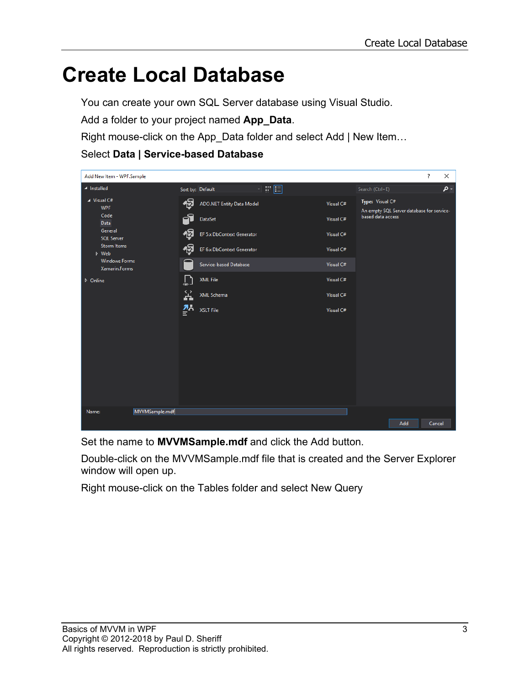### **Create Local Database**

You can create your own SQL Server database using Visual Studio.

Add a folder to your project named **App\_Data**.

Right mouse-click on the App\_Data folder and select Add | New Item…

#### Select **Data | Service-based Database**



Set the name to **MVVMSample.mdf** and click the Add button.

Double-click on the MVVMSample.mdf file that is created and the Server Explorer window will open up.

Right mouse-click on the Tables folder and select New Query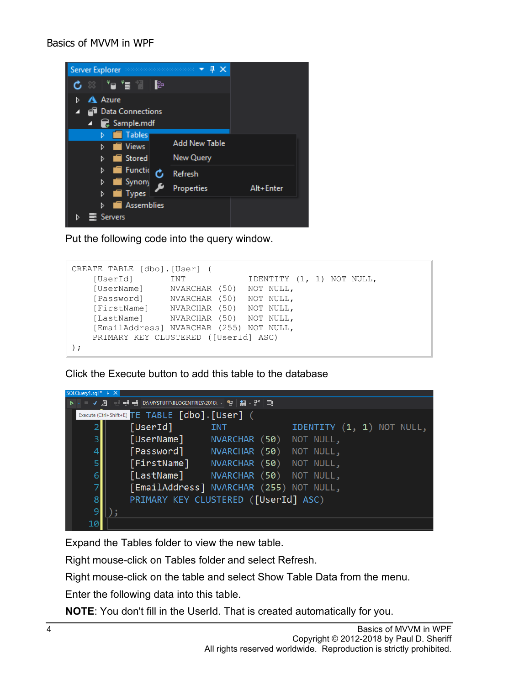

Put the following code into the query window.

```
CREATE TABLE [dbo].[User] (
     [UserId] INT IDENTITY (1, 1) NOT NULL,<br>[UserName] NVARCHAR (50) NOT NULL,
     [UserName] NVARCHAR (50) NOT NULL,<br>[Password] NVARCHAR (50) NOT NULL,
     [Password] MVARCHAR (50) NOT NULL,<br>[FirstName] NVARCHAR (50) NOT NULL,
     [FirstName] NVARCHAR (50) NOT NULL,<br>[LastName] NVARCHAR (50) NOT NULL,
                        NVARCHAR (50) NOT NULL,
      [EmailAddress] NVARCHAR (255) NOT NULL,
      PRIMARY KEY CLUSTERED ([UserId] ASC)
);
```
Click the Execute button to add this table to the database



Expand the Tables folder to view the new table.

Right mouse-click on Tables folder and select Refresh.

Right mouse-click on the table and select Show Table Data from the menu.

Enter the following data into this table.

**NOTE**: You don't fill in the UserId. That is created automatically for you.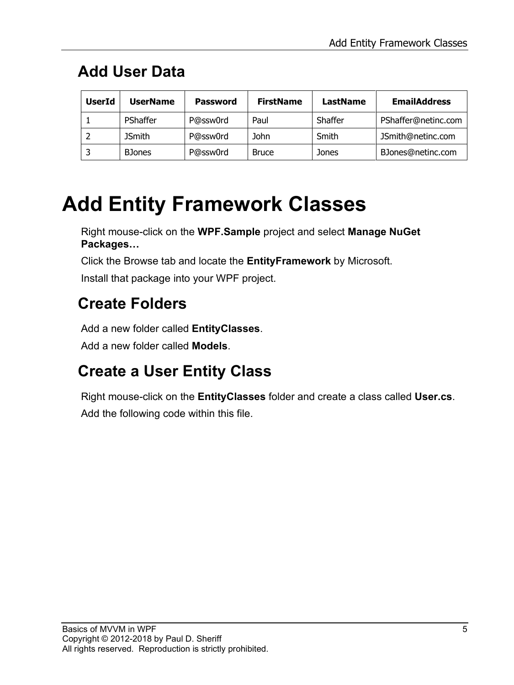#### **Add User Data**

| <b>UserId</b> | <b>UserName</b> | Password | <b>FirstName</b> | LastName | <b>EmailAddress</b> |
|---------------|-----------------|----------|------------------|----------|---------------------|
|               | PShaffer        | P@ssw0rd | Paul             | Shaffer  | PShaffer@netinc.com |
|               | <b>JSmith</b>   | P@ssw0rd | John             | Smith    | JSmith@netinc.com   |
|               | <b>B</b> Jones  | P@ssw0rd | <b>Bruce</b>     | Jones    | BJones@netinc.com   |

### **Add Entity Framework Classes**

Right mouse-click on the **WPF.Sample** project and select **Manage NuGet Packages…**

Click the Browse tab and locate the **EntityFramework** by Microsoft.

Install that package into your WPF project.

#### **Create Folders**

Add a new folder called **EntityClasses**.

Add a new folder called **Models**.

#### **Create a User Entity Class**

Right mouse-click on the **EntityClasses** folder and create a class called **User.cs**. Add the following code within this file.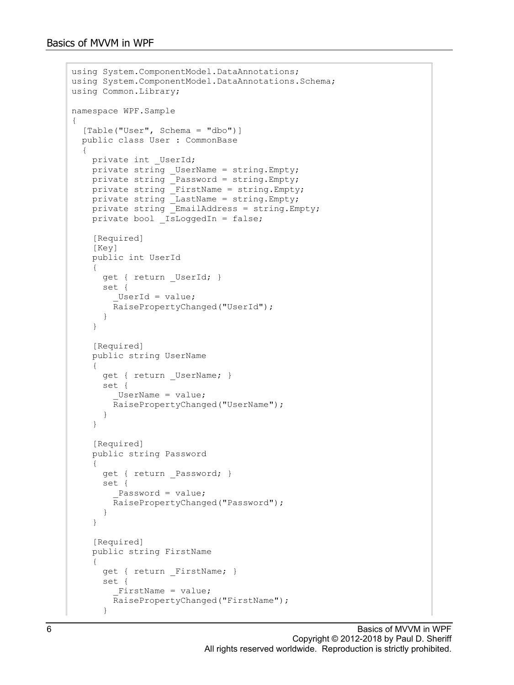```
using System.ComponentModel.DataAnnotations;
using System.ComponentModel.DataAnnotations.Schema;
using Common.Library;
namespace WPF.Sample
{
  [Table("User", Schema = "dbo")]
   public class User : CommonBase
\{private int UserId;
     private string _UserName = string.Empty;
   private string P Password = string. Empty;
     private string _FirstName = string.Empty;
     private string _LastName = string.Empty;
    private string \overline{\text{EmailAddress}} = \text{string}.\text{Empty};private bool  IsLoggedIn = false;
     [Required]
     [Key]
     public int UserId
     {
      get { return _UserId; }
       set {
         UserId = value;
         RaisePropertyChanged("UserId");
       }
     }
     [Required]
     public string UserName
    \left\{ \right. get { return _UserName; }
       set {
         UserName = value;
         RaisePropertyChanged("UserName");
 }
     }
    [Required]
     public string Password
     {
       get { return _Password; }
       set {
         Password = value;
         RaisePropertyChanged("Password");
       }
     }
     [Required]
     public string FirstName
     {
      get { return FirstName; }
       set {
         FirstName = value;
         RaisePropertyChanged("FirstName");
       }
```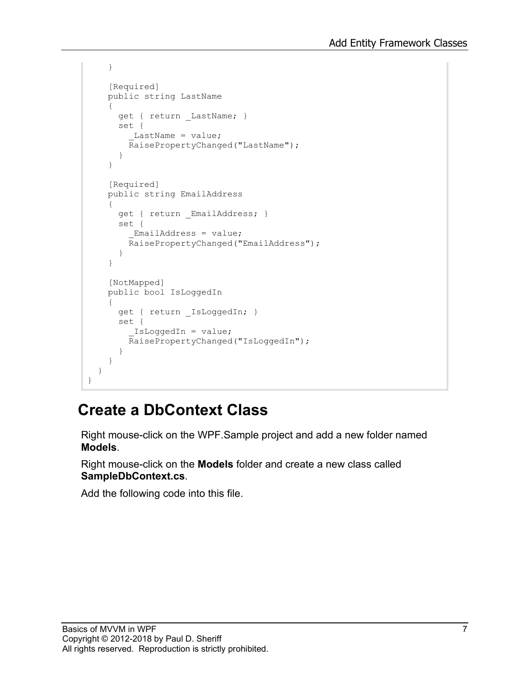```
 }
      [Required]
      public string LastName
\left\{\begin{array}{ccc} \end{array}\right\}get { return LastName; }
        set {
          LastName = value;
          RaisePropertyChanged("LastName");
        }
      }
      [Required]
     public string EmailAddress
      {
        get { return _EmailAddress; }
        set {
          EmailAddress = value;
           RaisePropertyChanged("EmailAddress");
        }
      }
      [NotMapped]
      public bool IsLoggedIn
\left\{\begin{array}{ccc} \end{array}\right\} get { return _IsLoggedIn; }
        set {
            _IsLoggedIn = value;
           RaisePropertyChanged("IsLoggedIn");
 }
      }
   }
}
```
#### **Create a DbContext Class**

Right mouse-click on the WPF.Sample project and add a new folder named **Models**.

Right mouse-click on the **Models** folder and create a new class called **SampleDbContext.cs**.

Add the following code into this file.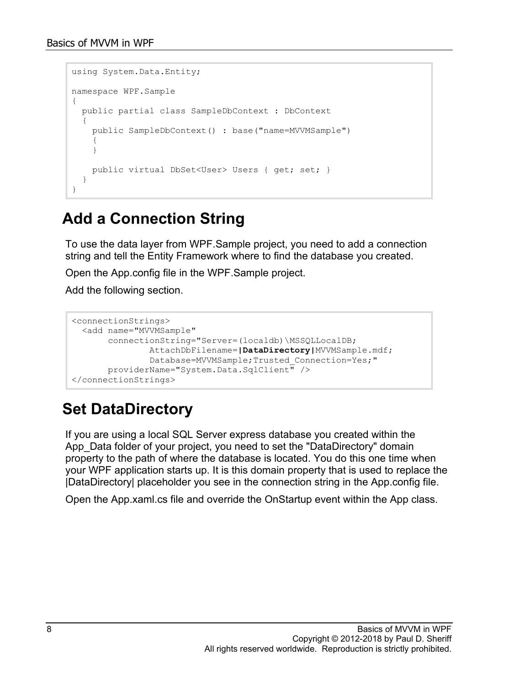```
using System.Data.Entity;
namespace WPF.Sample
{
   public partial class SampleDbContext : DbContext
\{ public SampleDbContext() : base("name=MVVMSample")
\left\{\begin{array}{ccc} \end{array}\right\} }
     public virtual DbSet<User> Users { get; set; }
   }
}
```
#### **Add a Connection String**

To use the data layer from WPF.Sample project, you need to add a connection string and tell the Entity Framework where to find the database you created.

Open the App.config file in the WPF.Sample project.

Add the following section.

```
<connectionStrings>
  <add name="MVVMSample"
        connectionString="Server=(localdb)\MSSQLLocalDB;
                AttachDbFilename=|DataDirectory|MVVMSample.mdf;
               Database=MVVMSample; Trusted Connection=Yes; "
        providerName="System.Data.SqlClient" />
</connectionStrings>
```
#### **Set DataDirectory**

If you are using a local SQL Server express database you created within the App\_Data folder of your project, you need to set the "DataDirectory" domain property to the path of where the database is located. You do this one time when your WPF application starts up. It is this domain property that is used to replace the |DataDirectory| placeholder you see in the connection string in the App.config file.

Open the App.xaml.cs file and override the OnStartup event within the App class.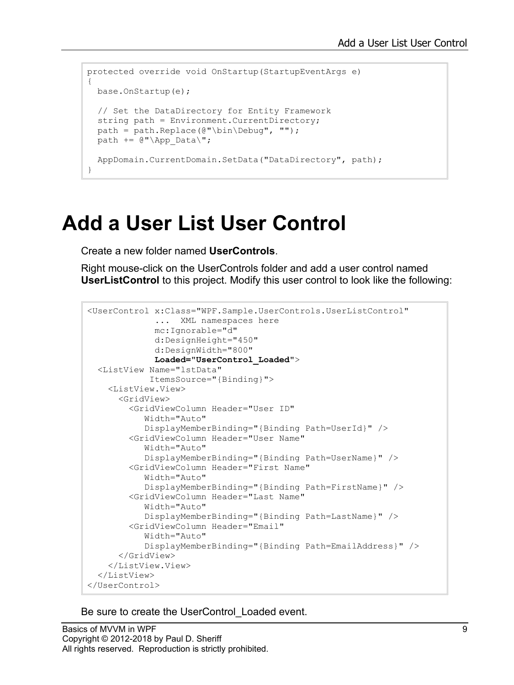```
protected override void OnStartup(StartupEventArgs e)
{
  base.OnStartup(e);
  // Set the DataDirectory for Entity Framework
  string path = Environment. CurrentDirectory;
 path = path.Replace(\mathcal{C}"\bin\Debuq", "");
 path += @" \App Data\";
  AppDomain.CurrentDomain.SetData("DataDirectory", path);
}
```
### **Add a User List User Control**

Create a new folder named **UserControls**.

Right mouse-click on the UserControls folder and add a user control named **UserListControl** to this project. Modify this user control to look like the following:

```
<UserControl x:Class="WPF.Sample.UserControls.UserListControl"
              ... XML namespaces here
              mc:Ignorable="d"
              d:DesignHeight="450"
              d:DesignWidth="800"
              Loaded="UserControl_Loaded">
   <ListView Name="lstData"
             ItemsSource="{Binding}">
     <ListView.View>
       <GridView>
         <GridViewColumn Header="User ID"
            Width="Auto"
            DisplayMemberBinding="{Binding Path=UserId}" />
         <GridViewColumn Header="User Name"
            Width="Auto"
            DisplayMemberBinding="{Binding Path=UserName}" />
         <GridViewColumn Header="First Name"
            Width="Auto"
            DisplayMemberBinding="{Binding Path=FirstName}" />
         <GridViewColumn Header="Last Name"
            Width="Auto"
            DisplayMemberBinding="{Binding Path=LastName}" />
         <GridViewColumn Header="Email"
            Width="Auto"
            DisplayMemberBinding="{Binding Path=EmailAddress}" />
       </GridView>
     </ListView.View>
   </ListView>
</UserControl>
```
Be sure to create the UserControl\_Loaded event.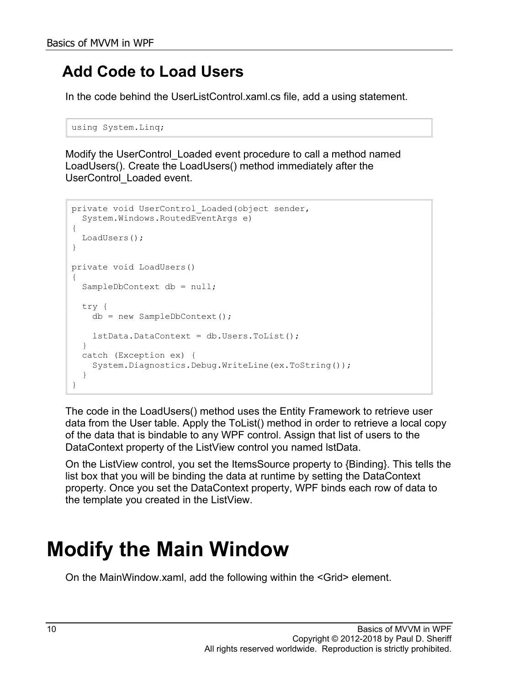#### **Add Code to Load Users**

In the code behind the UserListControl.xaml.cs file, add a using statement.

```
using System.Linq;
```
Modify the UserControl\_Loaded event procedure to call a method named LoadUsers(). Create the LoadUsers() method immediately after the UserControl\_Loaded event.

```
private void UserControl Loaded(object sender,
  System.Windows.RoutedEventArgs e)
{
  LoadUsers();
}
private void LoadUsers()
{
  SampleDbContext db = null;
   try {
    db = new SampleDbContext();
    lstData.DataContext = db.Users.ToList();
   }
  catch (Exception ex) {
    System.Diagnostics.Debug.WriteLine(ex.ToString());
   }
}
```
The code in the LoadUsers() method uses the Entity Framework to retrieve user data from the User table. Apply the ToList() method in order to retrieve a local copy of the data that is bindable to any WPF control. Assign that list of users to the DataContext property of the ListView control you named lstData.

On the ListView control, you set the ItemsSource property to {Binding}. This tells the list box that you will be binding the data at runtime by setting the DataContext property. Once you set the DataContext property, WPF binds each row of data to the template you created in the ListView.

## **Modify the Main Window**

On the MainWindow.xaml, add the following within the <Grid> element.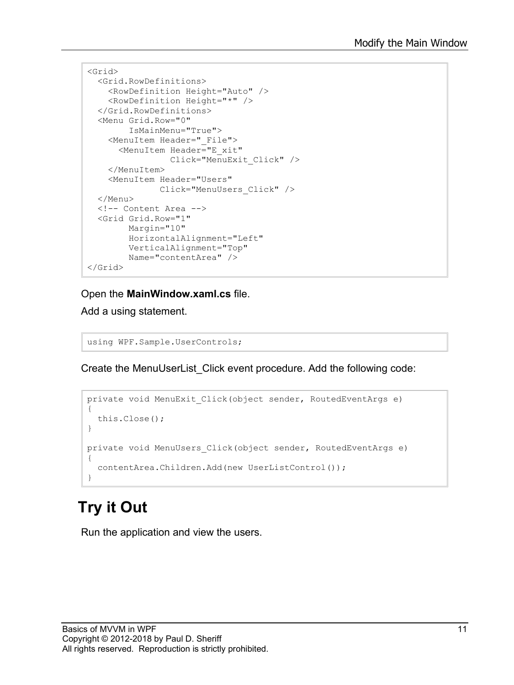```
<Grid>
  <Grid.RowDefinitions>
     <RowDefinition Height="Auto" />
     <RowDefinition Height="*" />
   </Grid.RowDefinitions>
   <Menu Grid.Row="0"
         IsMainMenu="True">
     <MenuItem Header="_File">
       <MenuItem Header="E_xit"
                 Click="MenuExit_Click" />
     </MenuItem>
     <MenuItem Header="Users"
              Click="MenuUsers_Click" />
   </Menu>
   <!-- Content Area -->
   <Grid Grid.Row="1"
         Margin="10"
         HorizontalAlignment="Left"
         VerticalAlignment="Top"
        Name="contentArea" />
</Grid>
```
Open the **MainWindow.xaml.cs** file.

Add a using statement.

using WPF.Sample.UserControls;

Create the MenuUserList\_Click event procedure. Add the following code:

```
private void MenuExit Click(object sender, RoutedEventArgs e)
{
   this.Close();
}
private void MenuUsers_Click(object sender, RoutedEventArgs e)
\mathcal{A} contentArea.Children.Add(new UserListControl());
}
```
### **Try it Out**

Run the application and view the users.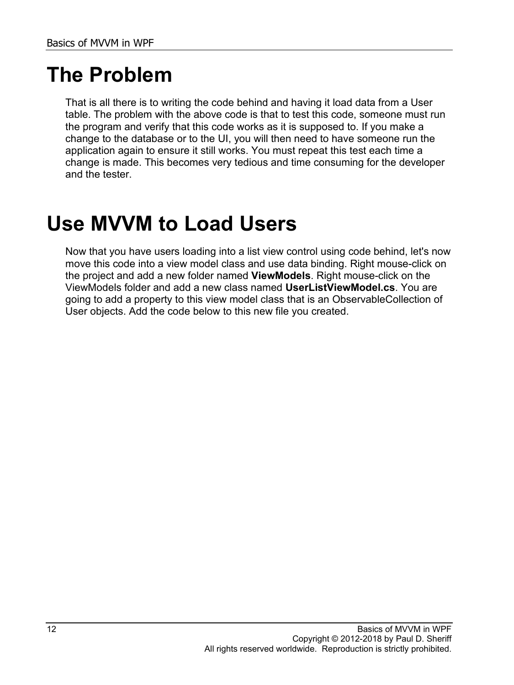### **The Problem**

That is all there is to writing the code behind and having it load data from a User table. The problem with the above code is that to test this code, someone must run the program and verify that this code works as it is supposed to. If you make a change to the database or to the UI, you will then need to have someone run the application again to ensure it still works. You must repeat this test each time a change is made. This becomes very tedious and time consuming for the developer and the tester.

### **Use MVVM to Load Users**

Now that you have users loading into a list view control using code behind, let's now move this code into a view model class and use data binding. Right mouse-click on the project and add a new folder named **ViewModels**. Right mouse-click on the ViewModels folder and add a new class named **UserListViewModel.cs**. You are going to add a property to this view model class that is an ObservableCollection of User objects. Add the code below to this new file you created.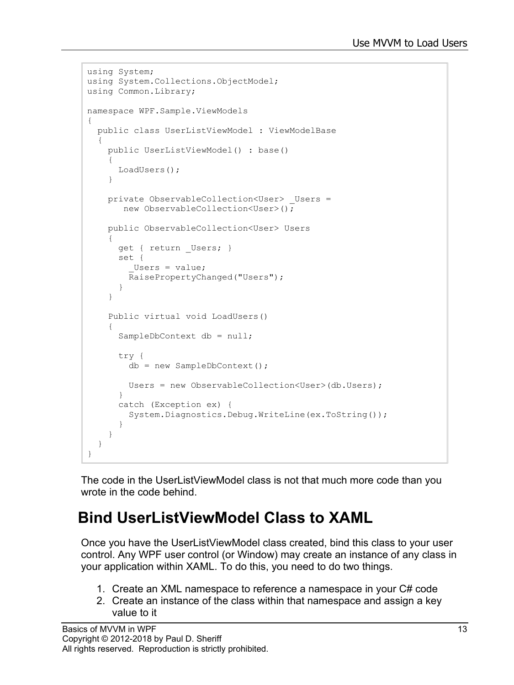```
using System;
using System.Collections.ObjectModel;
using Common.Library;
namespace WPF.Sample.ViewModels
{
   public class UserListViewModel : ViewModelBase
   {
     public UserListViewModel() : base()
     {
       LoadUsers();
     }
    private ObservableCollection<User> Users =
        new ObservableCollection<User>();
     public ObservableCollection<User> Users
\left\{\begin{array}{c} \end{array}\right\}get { return Users; }
       set {
         Users = value;
          RaisePropertyChanged("Users");
 }
     }
     Public virtual void LoadUsers()
\left\{\begin{array}{ccc} \end{array}\right\}SampleDbContext db = null;
        try {
          db = new SampleDbContext();
          Users = new ObservableCollection<User>(db.Users);
        }
        catch (Exception ex) {
          System.Diagnostics.Debug.WriteLine(ex.ToString());
 }
     }
   }
}
```
The code in the UserListViewModel class is not that much more code than you wrote in the code behind.

#### **Bind UserListViewModel Class to XAML**

Once you have the UserListViewModel class created, bind this class to your user control. Any WPF user control (or Window) may create an instance of any class in your application within XAML. To do this, you need to do two things.

- 1. Create an XML namespace to reference a namespace in your C# code
- 2. Create an instance of the class within that namespace and assign a key value to it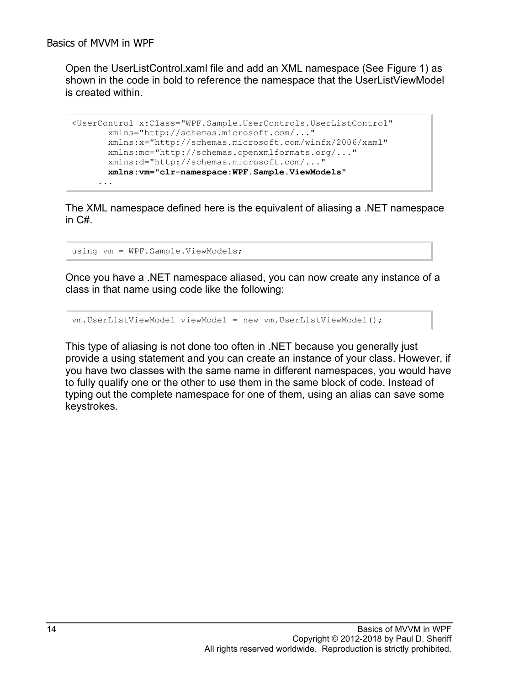Open the UserListControl.xaml file and add an XML namespace (See [Figure 1\)](#page-14-0) as shown in the code in bold to reference the namespace that the UserListViewModel is created within.

```
<UserControl x:Class="WPF.Sample.UserControls.UserListControl"
        xmlns="http://schemas.microsoft.com/..."
        xmlns:x="http://schemas.microsoft.com/winfx/2006/xaml"
        xmlns:mc="http://schemas.openxmlformats.org/..."
        xmlns:d="http://schemas.microsoft.com/..."
       xmlns:vm="clr-namespace:WPF.Sample.ViewModels"
      ...
```
The XML namespace defined here is the equivalent of aliasing a .NET namespace in C#.

using vm = WPF.Sample.ViewModels;

Once you have a .NET namespace aliased, you can now create any instance of a class in that name using code like the following:

```
vm.UserListViewModel viewModel = new vm.UserListViewModel();
```
This type of aliasing is not done too often in .NET because you generally just provide a using statement and you can create an instance of your class. However, if you have two classes with the same name in different namespaces, you would have to fully qualify one or the other to use them in the same block of code. Instead of typing out the complete namespace for one of them, using an alias can save some keystrokes.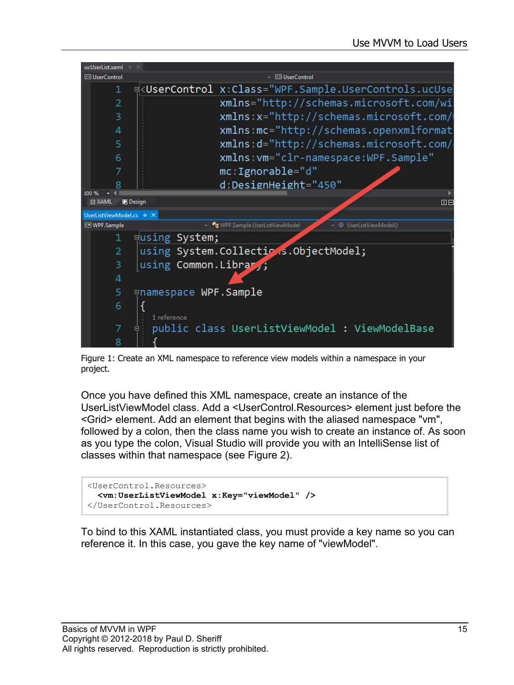

Figure 1: Create an XML namespace to reference view models within a namespace in your project.

<span id="page-14-0"></span>Once you have defined this XML namespace, create an instance of the UserListViewModel class. Add a <UserControl.Resources> element just before the <Grid> element. Add an element that begins with the aliased namespace "vm", followed by a colon, then the class name you wish to create an instance of. As soon as you type the colon, Visual Studio will provide you with an IntelliSense list of classes within that namespace (see [Figure 2\)](#page-15-0).

```
<UserControl.Resources>
  <vm:UserListViewModel x:Key="viewModel" />
</UserControl.Resources>
```
To bind to this XAML instantiated class, you must provide a key name so you can reference it. In this case, you gave the key name of "viewModel".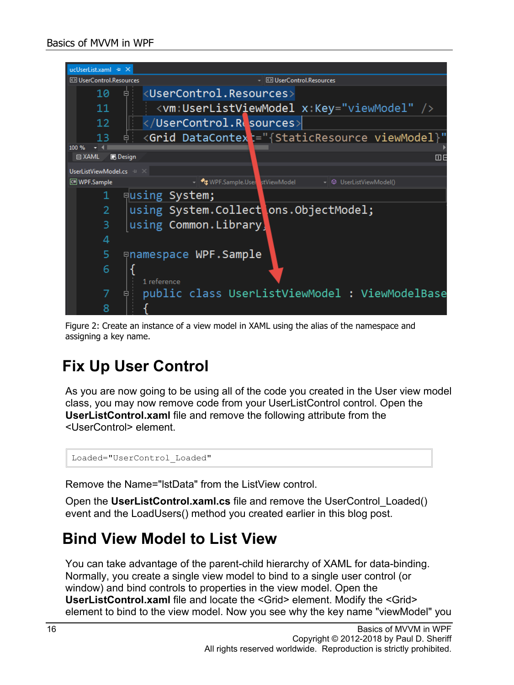

<span id="page-15-0"></span>Figure 2: Create an instance of a view model in XAML using the alias of the namespace and assigning a key name.

#### **Fix Up User Control**

As you are now going to be using all of the code you created in the User view model class, you may now remove code from your UserListControl control. Open the **UserListControl.xaml** file and remove the following attribute from the <UserControl> element.

Loaded="UserControl\_Loaded"

Remove the Name="lstData" from the ListView control.

Open the **UserListControl.xaml.cs** file and remove the UserControl\_Loaded() event and the LoadUsers() method you created earlier in this blog post.

#### **Bind View Model to List View**

You can take advantage of the parent-child hierarchy of XAML for data-binding. Normally, you create a single view model to bind to a single user control (or window) and bind controls to properties in the view model. Open the **UserListControl.xaml** file and locate the <Grid> element. Modify the <Grid> element to bind to the view model. Now you see why the key name "viewModel" you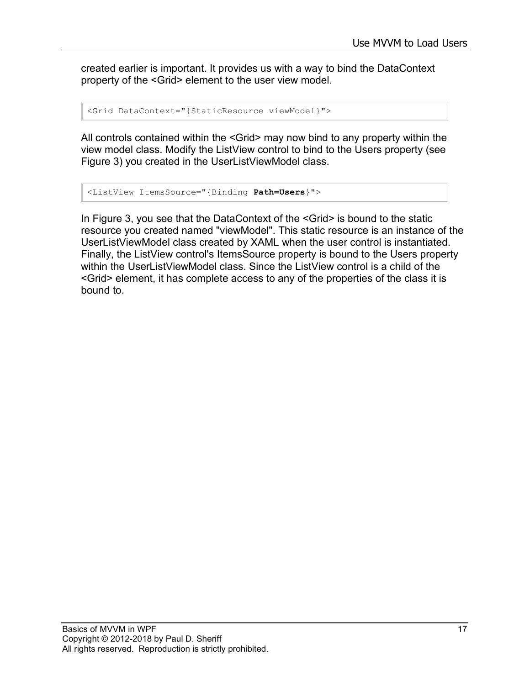created earlier is important. It provides us with a way to bind the DataContext property of the <Grid> element to the user view model.

```
<Grid DataContext="{StaticResource viewModel}">
```
All controls contained within the <Grid> may now bind to any property within the view model class. Modify the ListView control to bind to the Users property (see [Figure 3\)](#page-17-0) you created in the UserListViewModel class.

```
<ListView ItemsSource="{Binding Path=Users}">
```
In [Figure 3,](#page-17-0) you see that the DataContext of the <Grid> is bound to the static resource you created named "viewModel". This static resource is an instance of the UserListViewModel class created by XAML when the user control is instantiated. Finally, the ListView control's ItemsSource property is bound to the Users property within the UserListViewModel class. Since the ListView control is a child of the <Grid> element, it has complete access to any of the properties of the class it is bound to.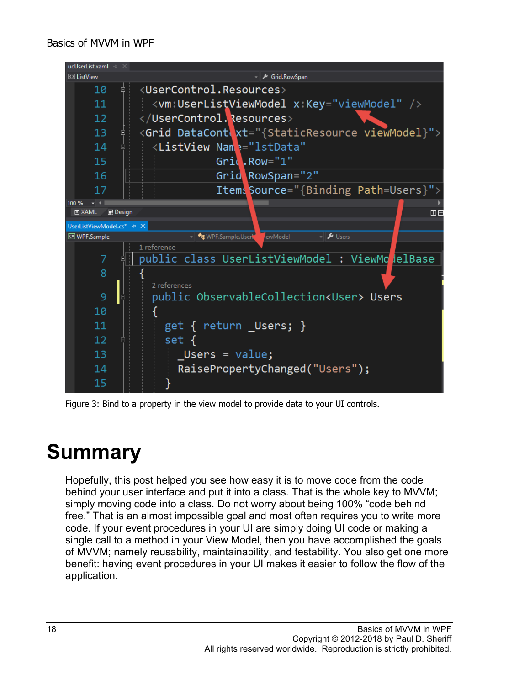

Figure 3: Bind to a property in the view model to provide data to your UI controls.

### <span id="page-17-0"></span>**Summary**

Hopefully, this post helped you see how easy it is to move code from the code behind your user interface and put it into a class. That is the whole key to MVVM; simply moving code into a class. Do not worry about being 100% "code behind free." That is an almost impossible goal and most often requires you to write more code. If your event procedures in your UI are simply doing UI code or making a single call to a method in your View Model, then you have accomplished the goals of MVVM; namely reusability, maintainability, and testability. You also get one more benefit: having event procedures in your UI makes it easier to follow the flow of the application.